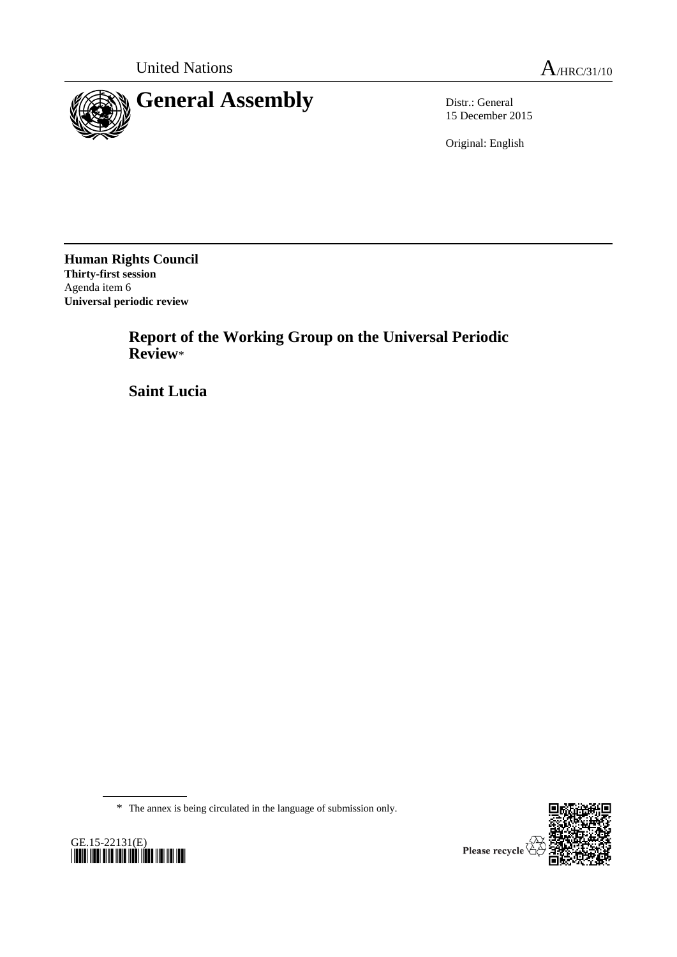

15 December 2015

Original: English

**Human Rights Council Thirty-first session** Agenda item 6 **Universal periodic review**

> **Report of the Working Group on the Universal Periodic Review**\*

**Saint Lucia**

\* The annex is being circulated in the language of submission only.





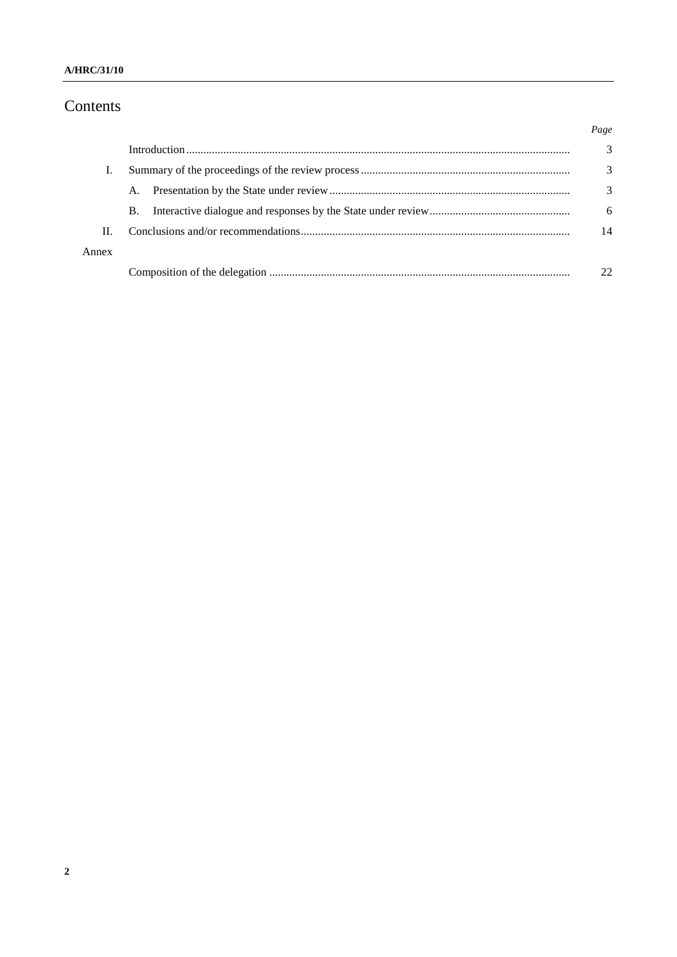### A/HRC/31/10

# Contents

|       |           | Page |
|-------|-----------|------|
|       |           | 3    |
|       |           | 3    |
|       | A.        | 3    |
|       | <b>B.</b> | 6    |
| Π.    |           | 14   |
| Annex |           |      |
|       |           | つつ   |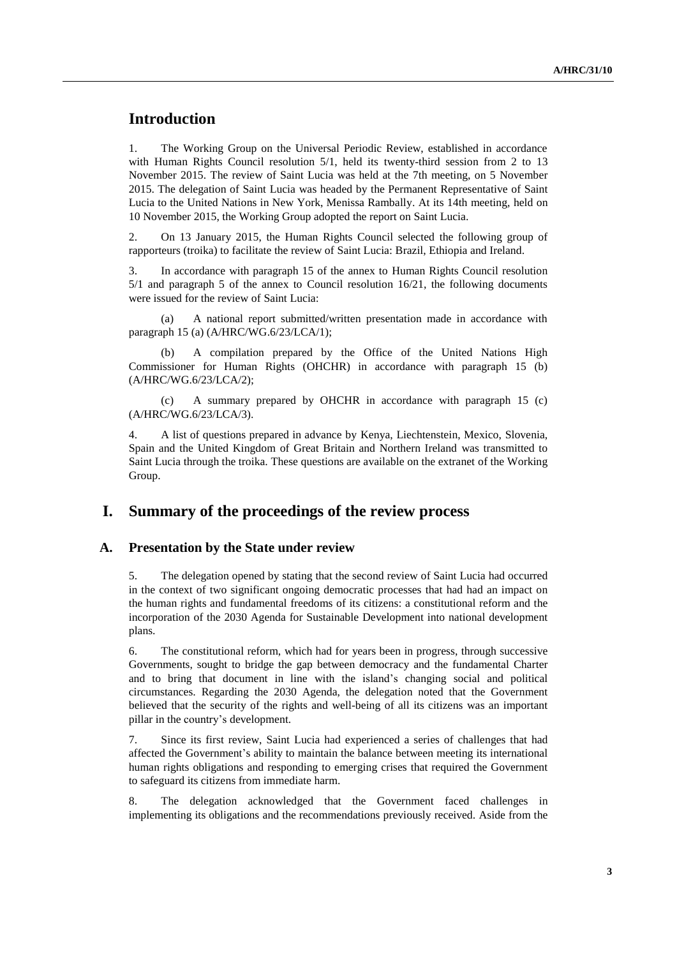## **Introduction**

1. The Working Group on the Universal Periodic Review, established in accordance with Human Rights Council resolution  $5/1$ , held its twenty-third session from 2 to 13 November 2015. The review of Saint Lucia was held at the 7th meeting, on 5 November 2015. The delegation of Saint Lucia was headed by the Permanent Representative of Saint Lucia to the United Nations in New York, Menissa Rambally. At its 14th meeting, held on 10 November 2015, the Working Group adopted the report on Saint Lucia.

2. On 13 January 2015, the Human Rights Council selected the following group of rapporteurs (troika) to facilitate the review of Saint Lucia: Brazil, Ethiopia and Ireland.

3. In accordance with paragraph 15 of the annex to Human Rights Council resolution 5/1 and paragraph 5 of the annex to Council resolution 16/21, the following documents were issued for the review of Saint Lucia:

(a) A national report submitted/written presentation made in accordance with paragraph 15 (a) (A/HRC/WG.6/23/LCA/1);

(b) A compilation prepared by the Office of the United Nations High Commissioner for Human Rights (OHCHR) in accordance with paragraph 15 (b) (A/HRC/WG.6/23/LCA/2);

(c) A summary prepared by OHCHR in accordance with paragraph 15 (c) (A/HRC/WG.6/23/LCA/3).

4. A list of questions prepared in advance by Kenya, Liechtenstein, Mexico, Slovenia, Spain and the United Kingdom of Great Britain and Northern Ireland was transmitted to Saint Lucia through the troika. These questions are available on the extranet of the Working Group.

## **I. Summary of the proceedings of the review process**

#### **A. Presentation by the State under review**

5. The delegation opened by stating that the second review of Saint Lucia had occurred in the context of two significant ongoing democratic processes that had had an impact on the human rights and fundamental freedoms of its citizens: a constitutional reform and the incorporation of the 2030 Agenda for Sustainable Development into national development plans.

6. The constitutional reform, which had for years been in progress, through successive Governments, sought to bridge the gap between democracy and the fundamental Charter and to bring that document in line with the island's changing social and political circumstances. Regarding the 2030 Agenda, the delegation noted that the Government believed that the security of the rights and well-being of all its citizens was an important pillar in the country's development.

7. Since its first review, Saint Lucia had experienced a series of challenges that had affected the Government's ability to maintain the balance between meeting its international human rights obligations and responding to emerging crises that required the Government to safeguard its citizens from immediate harm.

8. The delegation acknowledged that the Government faced challenges in implementing its obligations and the recommendations previously received. Aside from the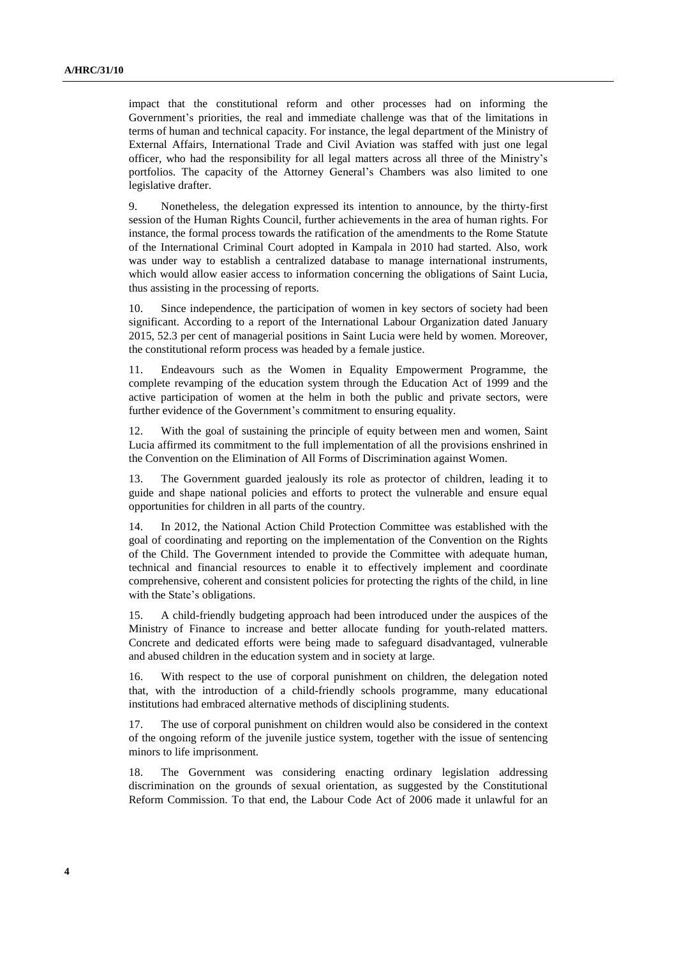impact that the constitutional reform and other processes had on informing the Government's priorities, the real and immediate challenge was that of the limitations in terms of human and technical capacity. For instance, the legal department of the Ministry of External Affairs, International Trade and Civil Aviation was staffed with just one legal officer, who had the responsibility for all legal matters across all three of the Ministry's portfolios. The capacity of the Attorney General's Chambers was also limited to one legislative drafter.

9. Nonetheless, the delegation expressed its intention to announce, by the thirty-first session of the Human Rights Council, further achievements in the area of human rights. For instance, the formal process towards the ratification of the amendments to the Rome Statute of the International Criminal Court adopted in Kampala in 2010 had started. Also, work was under way to establish a centralized database to manage international instruments, which would allow easier access to information concerning the obligations of Saint Lucia, thus assisting in the processing of reports.

10. Since independence, the participation of women in key sectors of society had been significant. According to a report of the International Labour Organization dated January 2015, 52.3 per cent of managerial positions in Saint Lucia were held by women. Moreover, the constitutional reform process was headed by a female justice.

11. Endeavours such as the Women in Equality Empowerment Programme, the complete revamping of the education system through the Education Act of 1999 and the active participation of women at the helm in both the public and private sectors, were further evidence of the Government's commitment to ensuring equality.

12. With the goal of sustaining the principle of equity between men and women, Saint Lucia affirmed its commitment to the full implementation of all the provisions enshrined in the Convention on the Elimination of All Forms of Discrimination against Women.

13. The Government guarded jealously its role as protector of children, leading it to guide and shape national policies and efforts to protect the vulnerable and ensure equal opportunities for children in all parts of the country.

14. In 2012, the National Action Child Protection Committee was established with the goal of coordinating and reporting on the implementation of the Convention on the Rights of the Child. The Government intended to provide the Committee with adequate human, technical and financial resources to enable it to effectively implement and coordinate comprehensive, coherent and consistent policies for protecting the rights of the child, in line with the State's obligations.

15. A child-friendly budgeting approach had been introduced under the auspices of the Ministry of Finance to increase and better allocate funding for youth-related matters. Concrete and dedicated efforts were being made to safeguard disadvantaged, vulnerable and abused children in the education system and in society at large.

16. With respect to the use of corporal punishment on children, the delegation noted that, with the introduction of a child-friendly schools programme, many educational institutions had embraced alternative methods of disciplining students.

17. The use of corporal punishment on children would also be considered in the context of the ongoing reform of the juvenile justice system, together with the issue of sentencing minors to life imprisonment.

18. The Government was considering enacting ordinary legislation addressing discrimination on the grounds of sexual orientation, as suggested by the Constitutional Reform Commission. To that end, the Labour Code Act of 2006 made it unlawful for an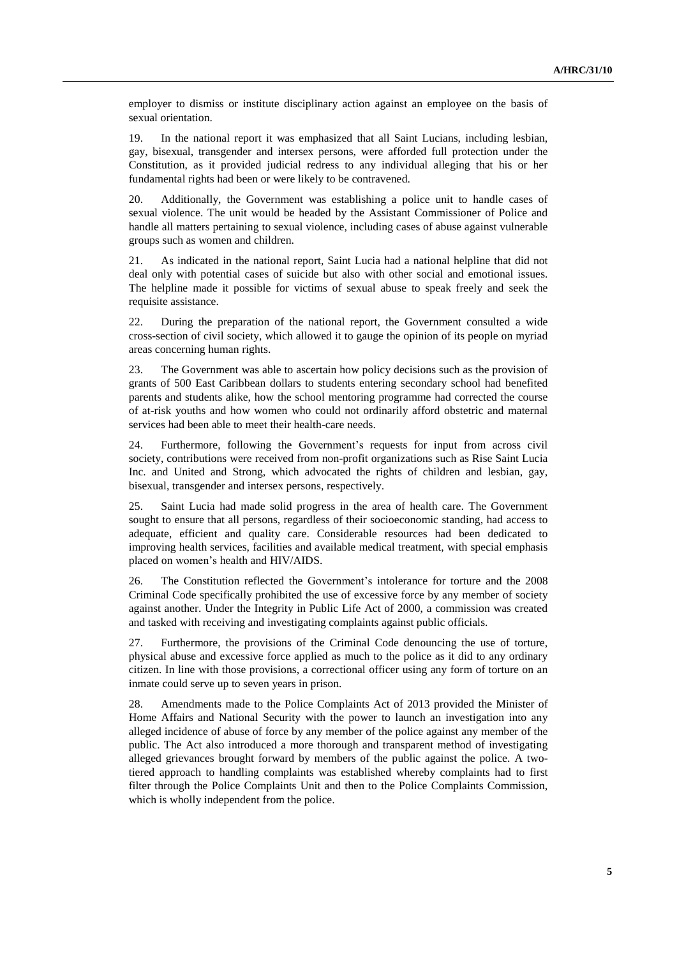employer to dismiss or institute disciplinary action against an employee on the basis of sexual orientation.

19. In the national report it was emphasized that all Saint Lucians, including lesbian, gay, bisexual, transgender and intersex persons, were afforded full protection under the Constitution, as it provided judicial redress to any individual alleging that his or her fundamental rights had been or were likely to be contravened.

20. Additionally, the Government was establishing a police unit to handle cases of sexual violence. The unit would be headed by the Assistant Commissioner of Police and handle all matters pertaining to sexual violence, including cases of abuse against vulnerable groups such as women and children.

21. As indicated in the national report, Saint Lucia had a national helpline that did not deal only with potential cases of suicide but also with other social and emotional issues. The helpline made it possible for victims of sexual abuse to speak freely and seek the requisite assistance.

22. During the preparation of the national report, the Government consulted a wide cross-section of civil society, which allowed it to gauge the opinion of its people on myriad areas concerning human rights.

23. The Government was able to ascertain how policy decisions such as the provision of grants of 500 East Caribbean dollars to students entering secondary school had benefited parents and students alike, how the school mentoring programme had corrected the course of at-risk youths and how women who could not ordinarily afford obstetric and maternal services had been able to meet their health-care needs.

24. Furthermore, following the Government's requests for input from across civil society, contributions were received from non-profit organizations such as Rise Saint Lucia Inc. and United and Strong, which advocated the rights of children and lesbian, gay, bisexual, transgender and intersex persons, respectively.

25. Saint Lucia had made solid progress in the area of health care. The Government sought to ensure that all persons, regardless of their socioeconomic standing, had access to adequate, efficient and quality care. Considerable resources had been dedicated to improving health services, facilities and available medical treatment, with special emphasis placed on women's health and HIV/AIDS.

26. The Constitution reflected the Government's intolerance for torture and the 2008 Criminal Code specifically prohibited the use of excessive force by any member of society against another. Under the Integrity in Public Life Act of 2000, a commission was created and tasked with receiving and investigating complaints against public officials.

27. Furthermore, the provisions of the Criminal Code denouncing the use of torture, physical abuse and excessive force applied as much to the police as it did to any ordinary citizen. In line with those provisions, a correctional officer using any form of torture on an inmate could serve up to seven years in prison.

28. Amendments made to the Police Complaints Act of 2013 provided the Minister of Home Affairs and National Security with the power to launch an investigation into any alleged incidence of abuse of force by any member of the police against any member of the public. The Act also introduced a more thorough and transparent method of investigating alleged grievances brought forward by members of the public against the police. A twotiered approach to handling complaints was established whereby complaints had to first filter through the Police Complaints Unit and then to the Police Complaints Commission, which is wholly independent from the police.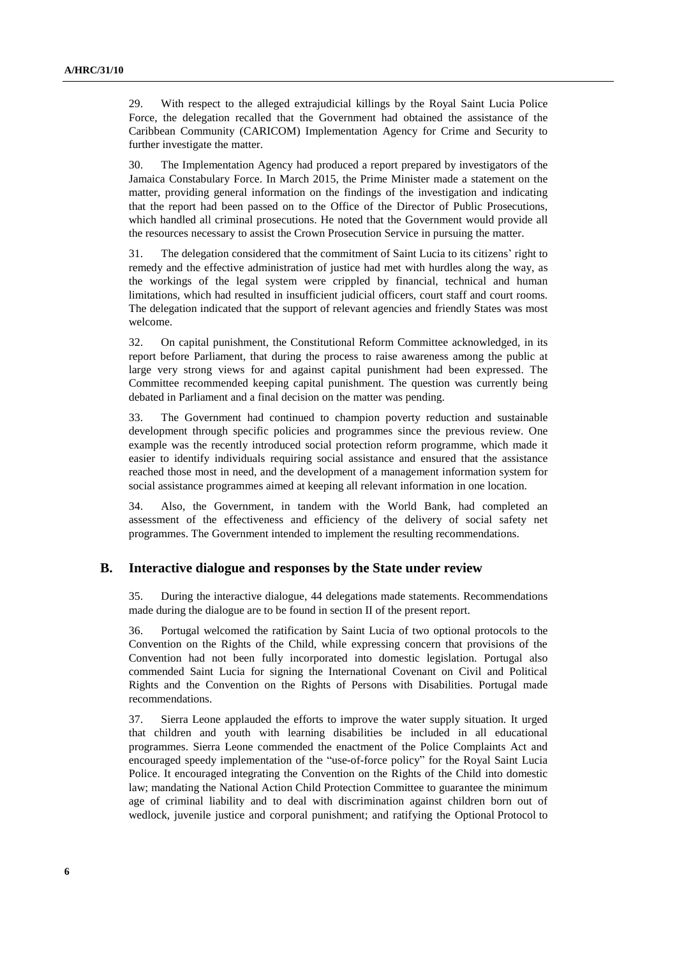29. With respect to the alleged extrajudicial killings by the Royal Saint Lucia Police Force, the delegation recalled that the Government had obtained the assistance of the Caribbean Community (CARICOM) Implementation Agency for Crime and Security to further investigate the matter.

30. The Implementation Agency had produced a report prepared by investigators of the Jamaica Constabulary Force. In March 2015, the Prime Minister made a statement on the matter, providing general information on the findings of the investigation and indicating that the report had been passed on to the Office of the Director of Public Prosecutions, which handled all criminal prosecutions. He noted that the Government would provide all the resources necessary to assist the Crown Prosecution Service in pursuing the matter.

31. The delegation considered that the commitment of Saint Lucia to its citizens' right to remedy and the effective administration of justice had met with hurdles along the way, as the workings of the legal system were crippled by financial, technical and human limitations, which had resulted in insufficient judicial officers, court staff and court rooms. The delegation indicated that the support of relevant agencies and friendly States was most welcome.

32. On capital punishment, the Constitutional Reform Committee acknowledged, in its report before Parliament, that during the process to raise awareness among the public at large very strong views for and against capital punishment had been expressed. The Committee recommended keeping capital punishment. The question was currently being debated in Parliament and a final decision on the matter was pending.

33. The Government had continued to champion poverty reduction and sustainable development through specific policies and programmes since the previous review. One example was the recently introduced social protection reform programme, which made it easier to identify individuals requiring social assistance and ensured that the assistance reached those most in need, and the development of a management information system for social assistance programmes aimed at keeping all relevant information in one location.

34. Also, the Government, in tandem with the World Bank, had completed an assessment of the effectiveness and efficiency of the delivery of social safety net programmes. The Government intended to implement the resulting recommendations.

#### **B. Interactive dialogue and responses by the State under review**

35. During the interactive dialogue, 44 delegations made statements. Recommendations made during the dialogue are to be found in section II of the present report.

36. Portugal welcomed the ratification by Saint Lucia of two optional protocols to the Convention on the Rights of the Child, while expressing concern that provisions of the Convention had not been fully incorporated into domestic legislation. Portugal also commended Saint Lucia for signing the International Covenant on Civil and Political Rights and the Convention on the Rights of Persons with Disabilities. Portugal made recommendations.

37. Sierra Leone applauded the efforts to improve the water supply situation. It urged that children and youth with learning disabilities be included in all educational programmes. Sierra Leone commended the enactment of the Police Complaints Act and encouraged speedy implementation of the "use-of-force policy" for the Royal Saint Lucia Police. It encouraged integrating the Convention on the Rights of the Child into domestic law; mandating the National Action Child Protection Committee to guarantee the minimum age of criminal liability and to deal with discrimination against children born out of wedlock, juvenile justice and corporal punishment; and ratifying the Optional Protocol to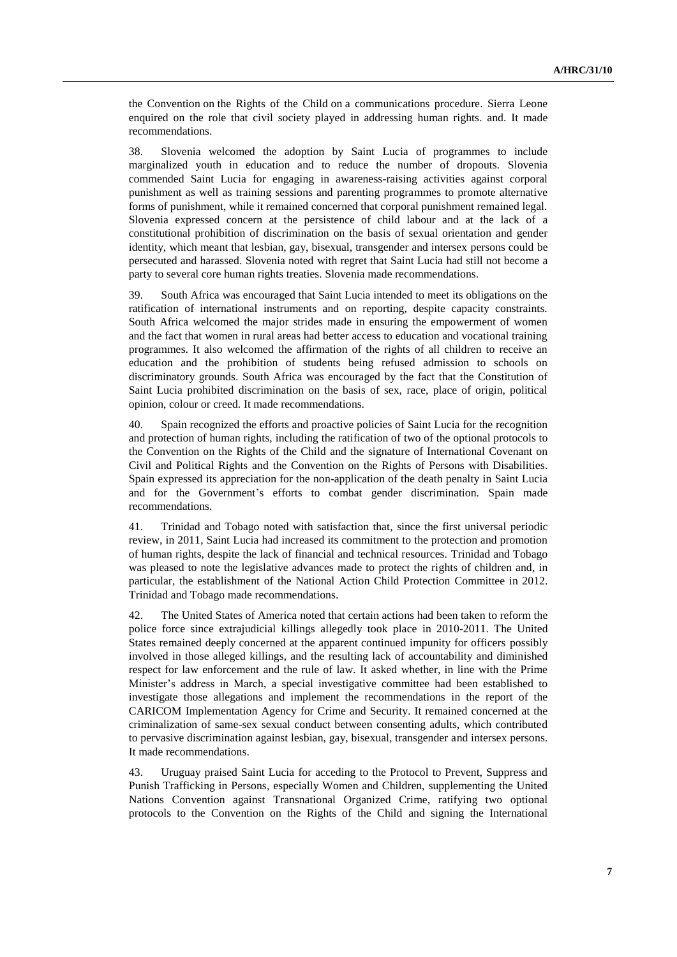the Convention on the Rights of the Child on a communications procedure. Sierra Leone enquired on the role that civil society played in addressing human rights. and. It made recommendations.

38. Slovenia welcomed the adoption by Saint Lucia of programmes to include marginalized youth in education and to reduce the number of dropouts. Slovenia commended Saint Lucia for engaging in awareness-raising activities against corporal punishment as well as training sessions and parenting programmes to promote alternative forms of punishment, while it remained concerned that corporal punishment remained legal. Slovenia expressed concern at the persistence of child labour and at the lack of a constitutional prohibition of discrimination on the basis of sexual orientation and gender identity, which meant that lesbian, gay, bisexual, transgender and intersex persons could be persecuted and harassed. Slovenia noted with regret that Saint Lucia had still not become a party to several core human rights treaties. Slovenia made recommendations.

39. South Africa was encouraged that Saint Lucia intended to meet its obligations on the ratification of international instruments and on reporting, despite capacity constraints. South Africa welcomed the major strides made in ensuring the empowerment of women and the fact that women in rural areas had better access to education and vocational training programmes. It also welcomed the affirmation of the rights of all children to receive an education and the prohibition of students being refused admission to schools on discriminatory grounds. South Africa was encouraged by the fact that the Constitution of Saint Lucia prohibited discrimination on the basis of sex, race, place of origin, political opinion, colour or creed. It made recommendations.

40. Spain recognized the efforts and proactive policies of Saint Lucia for the recognition and protection of human rights, including the ratification of two of the optional protocols to the Convention on the Rights of the Child and the signature of International Covenant on Civil and Political Rights and the Convention on the Rights of Persons with Disabilities. Spain expressed its appreciation for the non-application of the death penalty in Saint Lucia and for the Government's efforts to combat gender discrimination. Spain made recommendations.

41. Trinidad and Tobago noted with satisfaction that, since the first universal periodic review, in 2011, Saint Lucia had increased its commitment to the protection and promotion of human rights, despite the lack of financial and technical resources. Trinidad and Tobago was pleased to note the legislative advances made to protect the rights of children and, in particular, the establishment of the National Action Child Protection Committee in 2012. Trinidad and Tobago made recommendations.

42. The United States of America noted that certain actions had been taken to reform the police force since extrajudicial killings allegedly took place in 2010-2011. The United States remained deeply concerned at the apparent continued impunity for officers possibly involved in those alleged killings, and the resulting lack of accountability and diminished respect for law enforcement and the rule of law. It asked whether, in line with the Prime Minister's address in March, a special investigative committee had been established to investigate those allegations and implement the recommendations in the report of the CARICOM Implementation Agency for Crime and Security. It remained concerned at the criminalization of same-sex sexual conduct between consenting adults, which contributed to pervasive discrimination against lesbian, gay, bisexual, transgender and intersex persons. It made recommendations.

43. Uruguay praised Saint Lucia for acceding to the Protocol to Prevent, Suppress and Punish Trafficking in Persons, especially Women and Children, supplementing the United Nations Convention against Transnational Organized Crime, ratifying two optional protocols to the Convention on the Rights of the Child and signing the International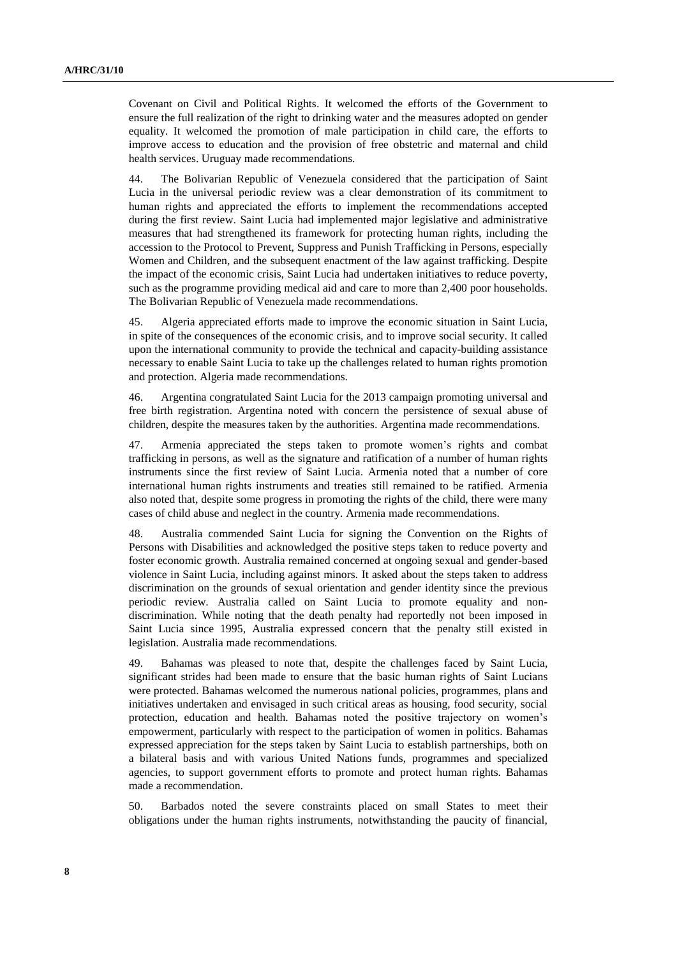Covenant on Civil and Political Rights. It welcomed the efforts of the Government to ensure the full realization of the right to drinking water and the measures adopted on gender equality. It welcomed the promotion of male participation in child care, the efforts to improve access to education and the provision of free obstetric and maternal and child health services. Uruguay made recommendations.

44. The Bolivarian Republic of Venezuela considered that the participation of Saint Lucia in the universal periodic review was a clear demonstration of its commitment to human rights and appreciated the efforts to implement the recommendations accepted during the first review. Saint Lucia had implemented major legislative and administrative measures that had strengthened its framework for protecting human rights, including the accession to the Protocol to Prevent, Suppress and Punish Trafficking in Persons, especially Women and Children, and the subsequent enactment of the law against trafficking. Despite the impact of the economic crisis, Saint Lucia had undertaken initiatives to reduce poverty, such as the programme providing medical aid and care to more than 2,400 poor households. The Bolivarian Republic of Venezuela made recommendations.

45. Algeria appreciated efforts made to improve the economic situation in Saint Lucia, in spite of the consequences of the economic crisis, and to improve social security. It called upon the international community to provide the technical and capacity-building assistance necessary to enable Saint Lucia to take up the challenges related to human rights promotion and protection. Algeria made recommendations.

46. Argentina congratulated Saint Lucia for the 2013 campaign promoting universal and free birth registration. Argentina noted with concern the persistence of sexual abuse of children, despite the measures taken by the authorities. Argentina made recommendations.

47. Armenia appreciated the steps taken to promote women's rights and combat trafficking in persons, as well as the signature and ratification of a number of human rights instruments since the first review of Saint Lucia. Armenia noted that a number of core international human rights instruments and treaties still remained to be ratified. Armenia also noted that, despite some progress in promoting the rights of the child, there were many cases of child abuse and neglect in the country. Armenia made recommendations.

48. Australia commended Saint Lucia for signing the Convention on the Rights of Persons with Disabilities and acknowledged the positive steps taken to reduce poverty and foster economic growth. Australia remained concerned at ongoing sexual and gender-based violence in Saint Lucia, including against minors. It asked about the steps taken to address discrimination on the grounds of sexual orientation and gender identity since the previous periodic review. Australia called on Saint Lucia to promote equality and nondiscrimination. While noting that the death penalty had reportedly not been imposed in Saint Lucia since 1995, Australia expressed concern that the penalty still existed in legislation. Australia made recommendations.

49. Bahamas was pleased to note that, despite the challenges faced by Saint Lucia, significant strides had been made to ensure that the basic human rights of Saint Lucians were protected. Bahamas welcomed the numerous national policies, programmes, plans and initiatives undertaken and envisaged in such critical areas as housing, food security, social protection, education and health. Bahamas noted the positive trajectory on women's empowerment, particularly with respect to the participation of women in politics. Bahamas expressed appreciation for the steps taken by Saint Lucia to establish partnerships, both on a bilateral basis and with various United Nations funds, programmes and specialized agencies, to support government efforts to promote and protect human rights. Bahamas made a recommendation.

50. Barbados noted the severe constraints placed on small States to meet their obligations under the human rights instruments, notwithstanding the paucity of financial,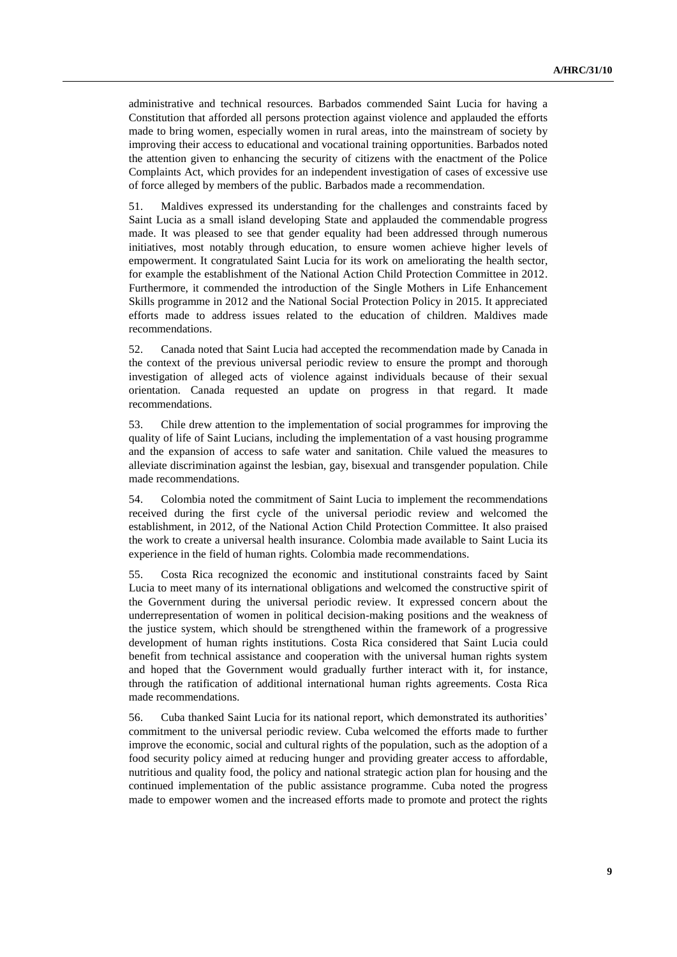administrative and technical resources. Barbados commended Saint Lucia for having a Constitution that afforded all persons protection against violence and applauded the efforts made to bring women, especially women in rural areas, into the mainstream of society by improving their access to educational and vocational training opportunities. Barbados noted the attention given to enhancing the security of citizens with the enactment of the Police Complaints Act, which provides for an independent investigation of cases of excessive use of force alleged by members of the public. Barbados made a recommendation.

51. Maldives expressed its understanding for the challenges and constraints faced by Saint Lucia as a small island developing State and applauded the commendable progress made. It was pleased to see that gender equality had been addressed through numerous initiatives, most notably through education, to ensure women achieve higher levels of empowerment. It congratulated Saint Lucia for its work on ameliorating the health sector, for example the establishment of the National Action Child Protection Committee in 2012. Furthermore, it commended the introduction of the Single Mothers in Life Enhancement Skills programme in 2012 and the National Social Protection Policy in 2015. It appreciated efforts made to address issues related to the education of children. Maldives made recommendations.

52. Canada noted that Saint Lucia had accepted the recommendation made by Canada in the context of the previous universal periodic review to ensure the prompt and thorough investigation of alleged acts of violence against individuals because of their sexual orientation. Canada requested an update on progress in that regard. It made recommendations.

53. Chile drew attention to the implementation of social programmes for improving the quality of life of Saint Lucians, including the implementation of a vast housing programme and the expansion of access to safe water and sanitation. Chile valued the measures to alleviate discrimination against the lesbian, gay, bisexual and transgender population. Chile made recommendations.

54. Colombia noted the commitment of Saint Lucia to implement the recommendations received during the first cycle of the universal periodic review and welcomed the establishment, in 2012, of the National Action Child Protection Committee. It also praised the work to create a universal health insurance. Colombia made available to Saint Lucia its experience in the field of human rights. Colombia made recommendations.

55. Costa Rica recognized the economic and institutional constraints faced by Saint Lucia to meet many of its international obligations and welcomed the constructive spirit of the Government during the universal periodic review. It expressed concern about the underrepresentation of women in political decision-making positions and the weakness of the justice system, which should be strengthened within the framework of a progressive development of human rights institutions. Costa Rica considered that Saint Lucia could benefit from technical assistance and cooperation with the universal human rights system and hoped that the Government would gradually further interact with it, for instance, through the ratification of additional international human rights agreements. Costa Rica made recommendations.

56. Cuba thanked Saint Lucia for its national report, which demonstrated its authorities' commitment to the universal periodic review. Cuba welcomed the efforts made to further improve the economic, social and cultural rights of the population, such as the adoption of a food security policy aimed at reducing hunger and providing greater access to affordable, nutritious and quality food, the policy and national strategic action plan for housing and the continued implementation of the public assistance programme. Cuba noted the progress made to empower women and the increased efforts made to promote and protect the rights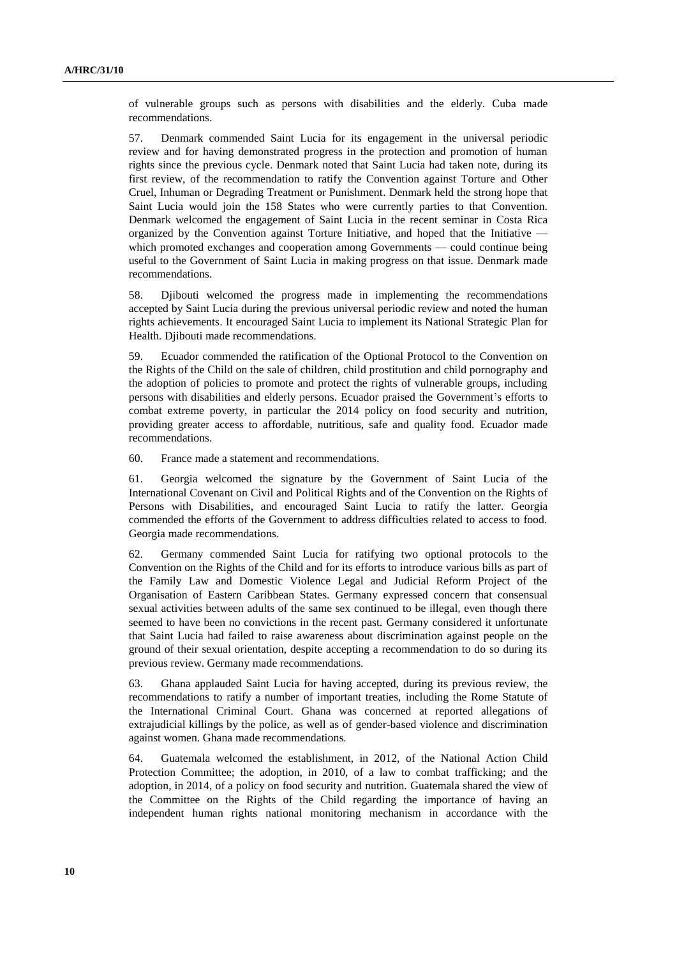of vulnerable groups such as persons with disabilities and the elderly. Cuba made recommendations.

57. Denmark commended Saint Lucia for its engagement in the universal periodic review and for having demonstrated progress in the protection and promotion of human rights since the previous cycle. Denmark noted that Saint Lucia had taken note, during its first review, of the recommendation to ratify the Convention against Torture and Other Cruel, Inhuman or Degrading Treatment or Punishment. Denmark held the strong hope that Saint Lucia would join the 158 States who were currently parties to that Convention. Denmark welcomed the engagement of Saint Lucia in the recent seminar in Costa Rica organized by the Convention against Torture Initiative, and hoped that the Initiative which promoted exchanges and cooperation among Governments — could continue being useful to the Government of Saint Lucia in making progress on that issue. Denmark made recommendations.

58. Djibouti welcomed the progress made in implementing the recommendations accepted by Saint Lucia during the previous universal periodic review and noted the human rights achievements. It encouraged Saint Lucia to implement its National Strategic Plan for Health. Diibouti made recommendations.

59. Ecuador commended the ratification of the Optional Protocol to the Convention on the Rights of the Child on the sale of children, child prostitution and child pornography and the adoption of policies to promote and protect the rights of vulnerable groups, including persons with disabilities and elderly persons. Ecuador praised the Government's efforts to combat extreme poverty, in particular the 2014 policy on food security and nutrition, providing greater access to affordable, nutritious, safe and quality food. Ecuador made recommendations.

60. France made a statement and recommendations.

61. Georgia welcomed the signature by the Government of Saint Lucia of the International Covenant on Civil and Political Rights and of the Convention on the Rights of Persons with Disabilities, and encouraged Saint Lucia to ratify the latter. Georgia commended the efforts of the Government to address difficulties related to access to food. Georgia made recommendations.

62. Germany commended Saint Lucia for ratifying two optional protocols to the Convention on the Rights of the Child and for its efforts to introduce various bills as part of the Family Law and Domestic Violence Legal and Judicial Reform Project of the Organisation of Eastern Caribbean States. Germany expressed concern that consensual sexual activities between adults of the same sex continued to be illegal, even though there seemed to have been no convictions in the recent past. Germany considered it unfortunate that Saint Lucia had failed to raise awareness about discrimination against people on the ground of their sexual orientation, despite accepting a recommendation to do so during its previous review. Germany made recommendations.

63. Ghana applauded Saint Lucia for having accepted, during its previous review, the recommendations to ratify a number of important treaties, including the Rome Statute of the International Criminal Court. Ghana was concerned at reported allegations of extrajudicial killings by the police, as well as of gender-based violence and discrimination against women. Ghana made recommendations.

64. Guatemala welcomed the establishment, in 2012, of the National Action Child Protection Committee; the adoption, in 2010, of a law to combat trafficking; and the adoption, in 2014, of a policy on food security and nutrition. Guatemala shared the view of the Committee on the Rights of the Child regarding the importance of having an independent human rights national monitoring mechanism in accordance with the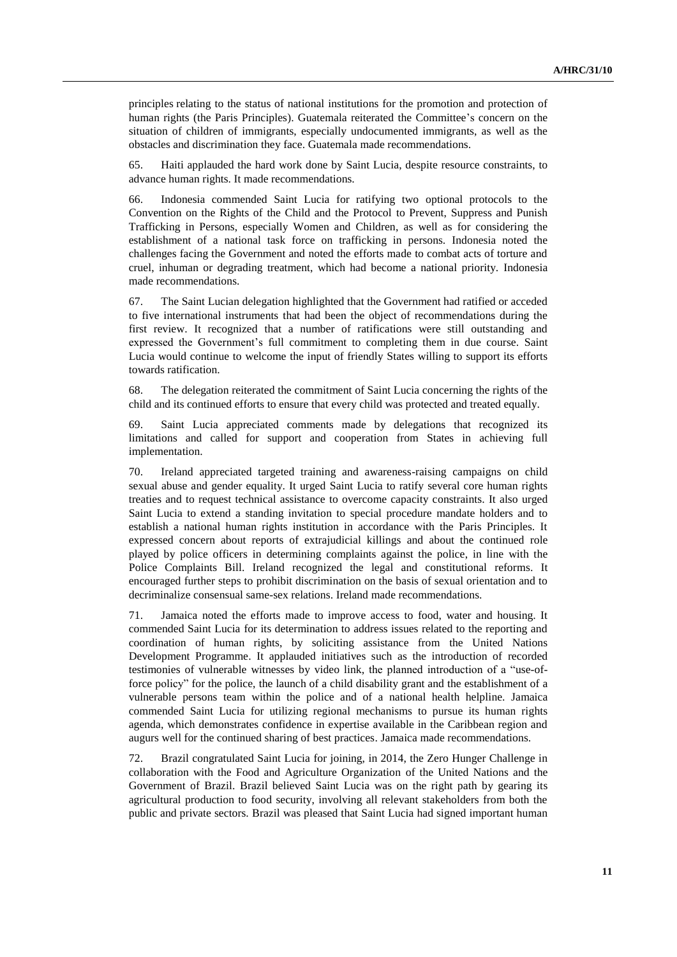principles relating to the status of national institutions for the promotion and protection of human rights (the Paris Principles). Guatemala reiterated the Committee's concern on the situation of children of immigrants, especially undocumented immigrants, as well as the obstacles and discrimination they face. Guatemala made recommendations.

65. Haiti applauded the hard work done by Saint Lucia, despite resource constraints, to advance human rights. It made recommendations.

66. Indonesia commended Saint Lucia for ratifying two optional protocols to the Convention on the Rights of the Child and the Protocol to Prevent, Suppress and Punish Trafficking in Persons, especially Women and Children, as well as for considering the establishment of a national task force on trafficking in persons. Indonesia noted the challenges facing the Government and noted the efforts made to combat acts of torture and cruel, inhuman or degrading treatment, which had become a national priority. Indonesia made recommendations.

67. The Saint Lucian delegation highlighted that the Government had ratified or acceded to five international instruments that had been the object of recommendations during the first review. It recognized that a number of ratifications were still outstanding and expressed the Government's full commitment to completing them in due course. Saint Lucia would continue to welcome the input of friendly States willing to support its efforts towards ratification.

68. The delegation reiterated the commitment of Saint Lucia concerning the rights of the child and its continued efforts to ensure that every child was protected and treated equally.

69. Saint Lucia appreciated comments made by delegations that recognized its limitations and called for support and cooperation from States in achieving full implementation.

70. Ireland appreciated targeted training and awareness-raising campaigns on child sexual abuse and gender equality. It urged Saint Lucia to ratify several core human rights treaties and to request technical assistance to overcome capacity constraints. It also urged Saint Lucia to extend a standing invitation to special procedure mandate holders and to establish a national human rights institution in accordance with the Paris Principles. It expressed concern about reports of extrajudicial killings and about the continued role played by police officers in determining complaints against the police, in line with the Police Complaints Bill. Ireland recognized the legal and constitutional reforms. It encouraged further steps to prohibit discrimination on the basis of sexual orientation and to decriminalize consensual same-sex relations. Ireland made recommendations.

71. Jamaica noted the efforts made to improve access to food, water and housing. It commended Saint Lucia for its determination to address issues related to the reporting and coordination of human rights, by soliciting assistance from the United Nations Development Programme. It applauded initiatives such as the introduction of recorded testimonies of vulnerable witnesses by video link, the planned introduction of a "use-offorce policy" for the police, the launch of a child disability grant and the establishment of a vulnerable persons team within the police and of a national health helpline. Jamaica commended Saint Lucia for utilizing regional mechanisms to pursue its human rights agenda, which demonstrates confidence in expertise available in the Caribbean region and augurs well for the continued sharing of best practices. Jamaica made recommendations.

72. Brazil congratulated Saint Lucia for joining, in 2014, the Zero Hunger Challenge in collaboration with the Food and Agriculture Organization of the United Nations and the Government of Brazil. Brazil believed Saint Lucia was on the right path by gearing its agricultural production to food security, involving all relevant stakeholders from both the public and private sectors. Brazil was pleased that Saint Lucia had signed important human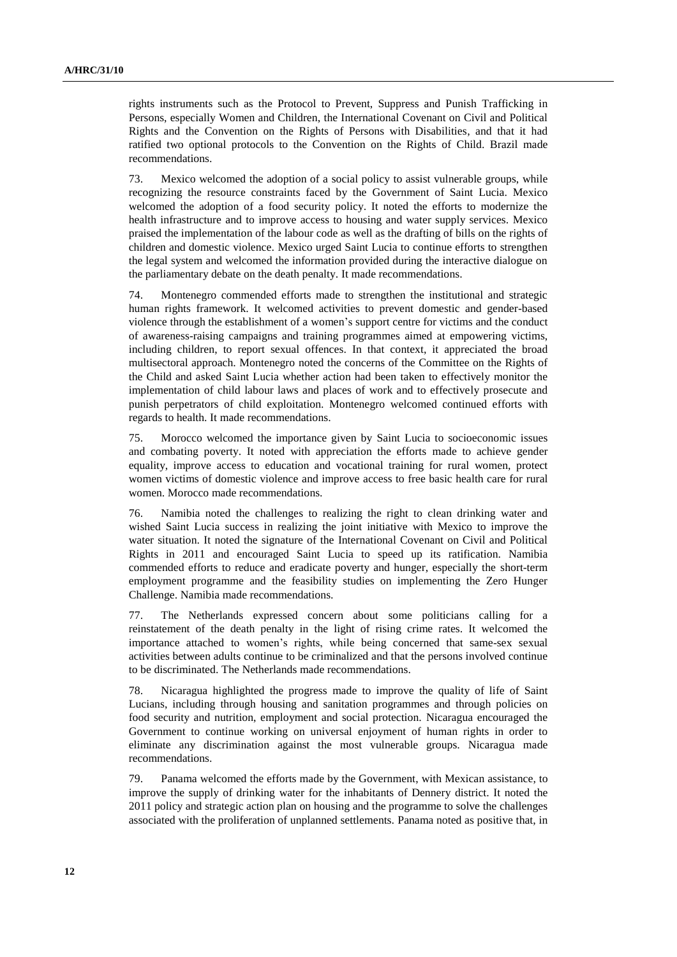rights instruments such as the Protocol to Prevent, Suppress and Punish Trafficking in Persons, especially Women and Children, the International Covenant on Civil and Political Rights and the Convention on the Rights of Persons with Disabilities, and that it had ratified two optional protocols to the Convention on the Rights of Child. Brazil made recommendations.

73. Mexico welcomed the adoption of a social policy to assist vulnerable groups, while recognizing the resource constraints faced by the Government of Saint Lucia. Mexico welcomed the adoption of a food security policy. It noted the efforts to modernize the health infrastructure and to improve access to housing and water supply services. Mexico praised the implementation of the labour code as well as the drafting of bills on the rights of children and domestic violence. Mexico urged Saint Lucia to continue efforts to strengthen the legal system and welcomed the information provided during the interactive dialogue on the parliamentary debate on the death penalty. It made recommendations.

74. Montenegro commended efforts made to strengthen the institutional and strategic human rights framework. It welcomed activities to prevent domestic and gender-based violence through the establishment of a women's support centre for victims and the conduct of awareness-raising campaigns and training programmes aimed at empowering victims, including children, to report sexual offences. In that context, it appreciated the broad multisectoral approach. Montenegro noted the concerns of the Committee on the Rights of the Child and asked Saint Lucia whether action had been taken to effectively monitor the implementation of child labour laws and places of work and to effectively prosecute and punish perpetrators of child exploitation. Montenegro welcomed continued efforts with regards to health. It made recommendations.

75. Morocco welcomed the importance given by Saint Lucia to socioeconomic issues and combating poverty. It noted with appreciation the efforts made to achieve gender equality, improve access to education and vocational training for rural women, protect women victims of domestic violence and improve access to free basic health care for rural women. Morocco made recommendations.

76. Namibia noted the challenges to realizing the right to clean drinking water and wished Saint Lucia success in realizing the joint initiative with Mexico to improve the water situation. It noted the signature of the International Covenant on Civil and Political Rights in 2011 and encouraged Saint Lucia to speed up its ratification. Namibia commended efforts to reduce and eradicate poverty and hunger, especially the short-term employment programme and the feasibility studies on implementing the Zero Hunger Challenge. Namibia made recommendations.

77. The Netherlands expressed concern about some politicians calling for a reinstatement of the death penalty in the light of rising crime rates. It welcomed the importance attached to women's rights, while being concerned that same-sex sexual activities between adults continue to be criminalized and that the persons involved continue to be discriminated. The Netherlands made recommendations.

78. Nicaragua highlighted the progress made to improve the quality of life of Saint Lucians, including through housing and sanitation programmes and through policies on food security and nutrition, employment and social protection. Nicaragua encouraged the Government to continue working on universal enjoyment of human rights in order to eliminate any discrimination against the most vulnerable groups. Nicaragua made recommendations.

79. Panama welcomed the efforts made by the Government, with Mexican assistance, to improve the supply of drinking water for the inhabitants of Dennery district. It noted the 2011 policy and strategic action plan on housing and the programme to solve the challenges associated with the proliferation of unplanned settlements. Panama noted as positive that, in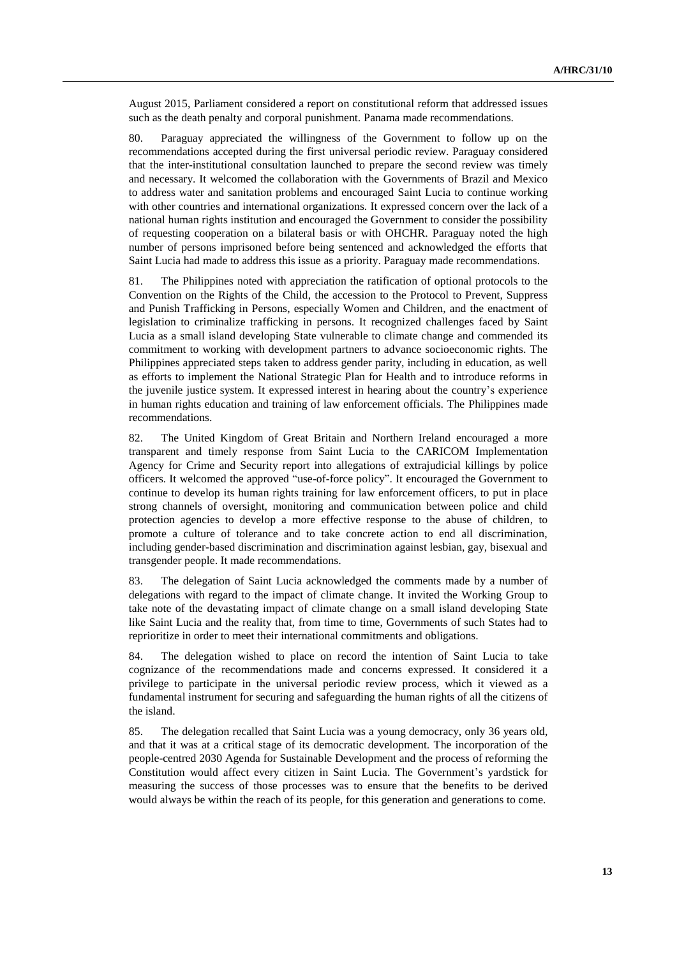August 2015, Parliament considered a report on constitutional reform that addressed issues such as the death penalty and corporal punishment. Panama made recommendations.

80. Paraguay appreciated the willingness of the Government to follow up on the recommendations accepted during the first universal periodic review. Paraguay considered that the inter-institutional consultation launched to prepare the second review was timely and necessary. It welcomed the collaboration with the Governments of Brazil and Mexico to address water and sanitation problems and encouraged Saint Lucia to continue working with other countries and international organizations. It expressed concern over the lack of a national human rights institution and encouraged the Government to consider the possibility of requesting cooperation on a bilateral basis or with OHCHR. Paraguay noted the high number of persons imprisoned before being sentenced and acknowledged the efforts that Saint Lucia had made to address this issue as a priority. Paraguay made recommendations.

81. The Philippines noted with appreciation the ratification of optional protocols to the Convention on the Rights of the Child, the accession to the Protocol to Prevent, Suppress and Punish Trafficking in Persons, especially Women and Children, and the enactment of legislation to criminalize trafficking in persons. It recognized challenges faced by Saint Lucia as a small island developing State vulnerable to climate change and commended its commitment to working with development partners to advance socioeconomic rights. The Philippines appreciated steps taken to address gender parity, including in education, as well as efforts to implement the National Strategic Plan for Health and to introduce reforms in the juvenile justice system. It expressed interest in hearing about the country's experience in human rights education and training of law enforcement officials. The Philippines made recommendations.

82. The United Kingdom of Great Britain and Northern Ireland encouraged a more transparent and timely response from Saint Lucia to the CARICOM Implementation Agency for Crime and Security report into allegations of extrajudicial killings by police officers. It welcomed the approved "use-of-force policy". It encouraged the Government to continue to develop its human rights training for law enforcement officers, to put in place strong channels of oversight, monitoring and communication between police and child protection agencies to develop a more effective response to the abuse of children, to promote a culture of tolerance and to take concrete action to end all discrimination, including gender-based discrimination and discrimination against lesbian, gay, bisexual and transgender people. It made recommendations.

83. The delegation of Saint Lucia acknowledged the comments made by a number of delegations with regard to the impact of climate change. It invited the Working Group to take note of the devastating impact of climate change on a small island developing State like Saint Lucia and the reality that, from time to time, Governments of such States had to reprioritize in order to meet their international commitments and obligations.

84. The delegation wished to place on record the intention of Saint Lucia to take cognizance of the recommendations made and concerns expressed. It considered it a privilege to participate in the universal periodic review process, which it viewed as a fundamental instrument for securing and safeguarding the human rights of all the citizens of the island.

85. The delegation recalled that Saint Lucia was a young democracy, only 36 years old, and that it was at a critical stage of its democratic development. The incorporation of the people-centred 2030 Agenda for Sustainable Development and the process of reforming the Constitution would affect every citizen in Saint Lucia. The Government's yardstick for measuring the success of those processes was to ensure that the benefits to be derived would always be within the reach of its people, for this generation and generations to come.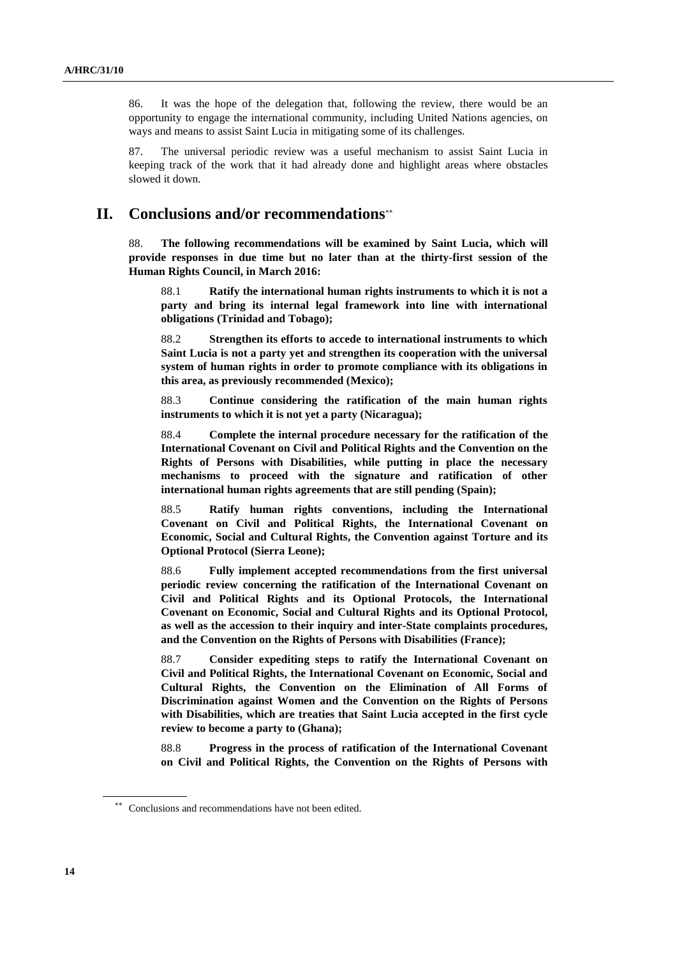86. It was the hope of the delegation that, following the review, there would be an opportunity to engage the international community, including United Nations agencies, on ways and means to assist Saint Lucia in mitigating some of its challenges.

87. The universal periodic review was a useful mechanism to assist Saint Lucia in keeping track of the work that it had already done and highlight areas where obstacles slowed it down.

### **II. Conclusions and/or recommendations**

88. **The following recommendations will be examined by Saint Lucia, which will provide responses in due time but no later than at the thirty-first session of the Human Rights Council, in March 2016:**

88.1 **Ratify the international human rights instruments to which it is not a party and bring its internal legal framework into line with international obligations (Trinidad and Tobago);**

88.2 **Strengthen its efforts to accede to international instruments to which Saint Lucia is not a party yet and strengthen its cooperation with the universal system of human rights in order to promote compliance with its obligations in this area, as previously recommended (Mexico);**

88.3 **Continue considering the ratification of the main human rights instruments to which it is not yet a party (Nicaragua);**

88.4 **Complete the internal procedure necessary for the ratification of the International Covenant on Civil and Political Rights and the Convention on the Rights of Persons with Disabilities, while putting in place the necessary mechanisms to proceed with the signature and ratification of other international human rights agreements that are still pending (Spain);**

88.5 **Ratify human rights conventions, including the International Covenant on Civil and Political Rights, the International Covenant on Economic, Social and Cultural Rights, the Convention against Torture and its Optional Protocol (Sierra Leone);**

88.6 **Fully implement accepted recommendations from the first universal periodic review concerning the ratification of the International Covenant on Civil and Political Rights and its Optional Protocols, the International Covenant on Economic, Social and Cultural Rights and its Optional Protocol, as well as the accession to their inquiry and inter-State complaints procedures, and the Convention on the Rights of Persons with Disabilities (France);**

88.7 **Consider expediting steps to ratify the International Covenant on Civil and Political Rights, the International Covenant on Economic, Social and Cultural Rights, the Convention on the Elimination of All Forms of Discrimination against Women and the Convention on the Rights of Persons with Disabilities, which are treaties that Saint Lucia accepted in the first cycle review to become a party to (Ghana);**

88.8 **Progress in the process of ratification of the International Covenant on Civil and Political Rights, the Convention on the Rights of Persons with** 

<sup>\*\*</sup> Conclusions and recommendations have not been edited.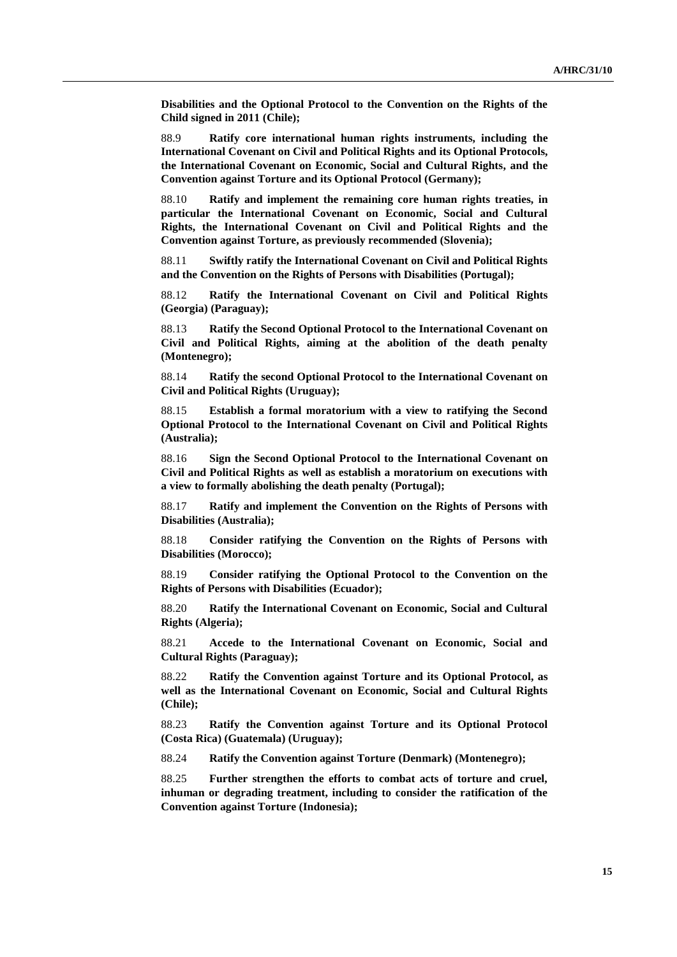**Disabilities and the Optional Protocol to the Convention on the Rights of the Child signed in 2011 (Chile);**

88.9 **Ratify core international human rights instruments, including the International Covenant on Civil and Political Rights and its Optional Protocols, the International Covenant on Economic, Social and Cultural Rights, and the Convention against Torture and its Optional Protocol (Germany);**

88.10 **Ratify and implement the remaining core human rights treaties, in particular the International Covenant on Economic, Social and Cultural Rights, the International Covenant on Civil and Political Rights and the Convention against Torture, as previously recommended (Slovenia);**

88.11 **Swiftly ratify the International Covenant on Civil and Political Rights and the Convention on the Rights of Persons with Disabilities (Portugal);**

88.12 **Ratify the International Covenant on Civil and Political Rights (Georgia) (Paraguay);**

88.13 **Ratify the Second Optional Protocol to the International Covenant on Civil and Political Rights, aiming at the abolition of the death penalty (Montenegro);**

88.14 **Ratify the second Optional Protocol to the International Covenant on Civil and Political Rights (Uruguay);**

88.15 **Establish a formal moratorium with a view to ratifying the Second Optional Protocol to the International Covenant on Civil and Political Rights (Australia);**

88.16 **Sign the Second Optional Protocol to the International Covenant on Civil and Political Rights as well as establish a moratorium on executions with a view to formally abolishing the death penalty (Portugal);**

88.17 **Ratify and implement the Convention on the Rights of Persons with Disabilities (Australia);**

88.18 **Consider ratifying the Convention on the Rights of Persons with Disabilities (Morocco);**

88.19 **Consider ratifying the Optional Protocol to the Convention on the Rights of Persons with Disabilities (Ecuador);**

88.20 **Ratify the International Covenant on Economic, Social and Cultural Rights (Algeria);**

88.21 **Accede to the International Covenant on Economic, Social and Cultural Rights (Paraguay);**

88.22 **Ratify the Convention against Torture and its Optional Protocol, as well as the International Covenant on Economic, Social and Cultural Rights (Chile);**

88.23 **Ratify the Convention against Torture and its Optional Protocol (Costa Rica) (Guatemala) (Uruguay);**

88.24 **Ratify the Convention against Torture (Denmark) (Montenegro);**

88.25 **Further strengthen the efforts to combat acts of torture and cruel, inhuman or degrading treatment, including to consider the ratification of the Convention against Torture (Indonesia);**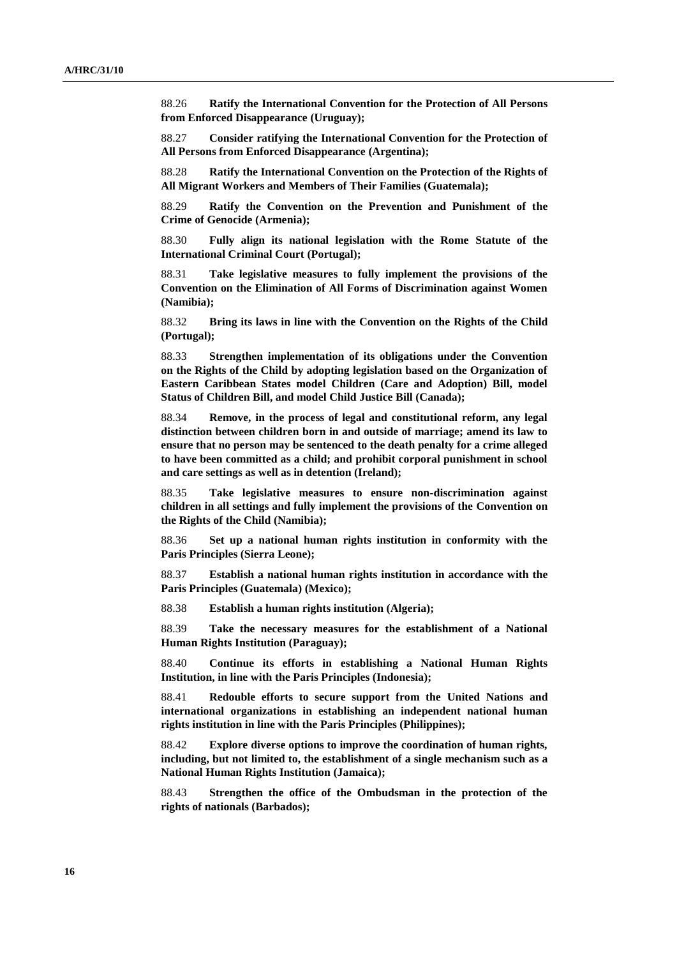88.26 **Ratify the International Convention for the Protection of All Persons from Enforced Disappearance (Uruguay);**

88.27 **Consider ratifying the International Convention for the Protection of All Persons from Enforced Disappearance (Argentina);**

88.28 **Ratify the International Convention on the Protection of the Rights of All Migrant Workers and Members of Their Families (Guatemala);**

88.29 **Ratify the Convention on the Prevention and Punishment of the Crime of Genocide (Armenia);**

88.30 **Fully align its national legislation with the Rome Statute of the International Criminal Court (Portugal);**

88.31 **Take legislative measures to fully implement the provisions of the Convention on the Elimination of All Forms of Discrimination against Women (Namibia);**

88.32 **Bring its laws in line with the Convention on the Rights of the Child (Portugal);**

88.33 **Strengthen implementation of its obligations under the Convention on the Rights of the Child by adopting legislation based on the Organization of Eastern Caribbean States model Children (Care and Adoption) Bill, model Status of Children Bill, and model Child Justice Bill (Canada);**

88.34 **Remove, in the process of legal and constitutional reform, any legal distinction between children born in and outside of marriage; amend its law to ensure that no person may be sentenced to the death penalty for a crime alleged to have been committed as a child; and prohibit corporal punishment in school and care settings as well as in detention (Ireland);**

88.35 **Take legislative measures to ensure non-discrimination against children in all settings and fully implement the provisions of the Convention on the Rights of the Child (Namibia);**

88.36 **Set up a national human rights institution in conformity with the Paris Principles (Sierra Leone);**

88.37 **Establish a national human rights institution in accordance with the Paris Principles (Guatemala) (Mexico);**

88.38 **Establish a human rights institution (Algeria);**

88.39 **Take the necessary measures for the establishment of a National Human Rights Institution (Paraguay);**

88.40 **Continue its efforts in establishing a National Human Rights Institution, in line with the Paris Principles (Indonesia);**

88.41 **Redouble efforts to secure support from the United Nations and international organizations in establishing an independent national human rights institution in line with the Paris Principles (Philippines);**

88.42 **Explore diverse options to improve the coordination of human rights, including, but not limited to, the establishment of a single mechanism such as a National Human Rights Institution (Jamaica);**

88.43 **Strengthen the office of the Ombudsman in the protection of the rights of nationals (Barbados);**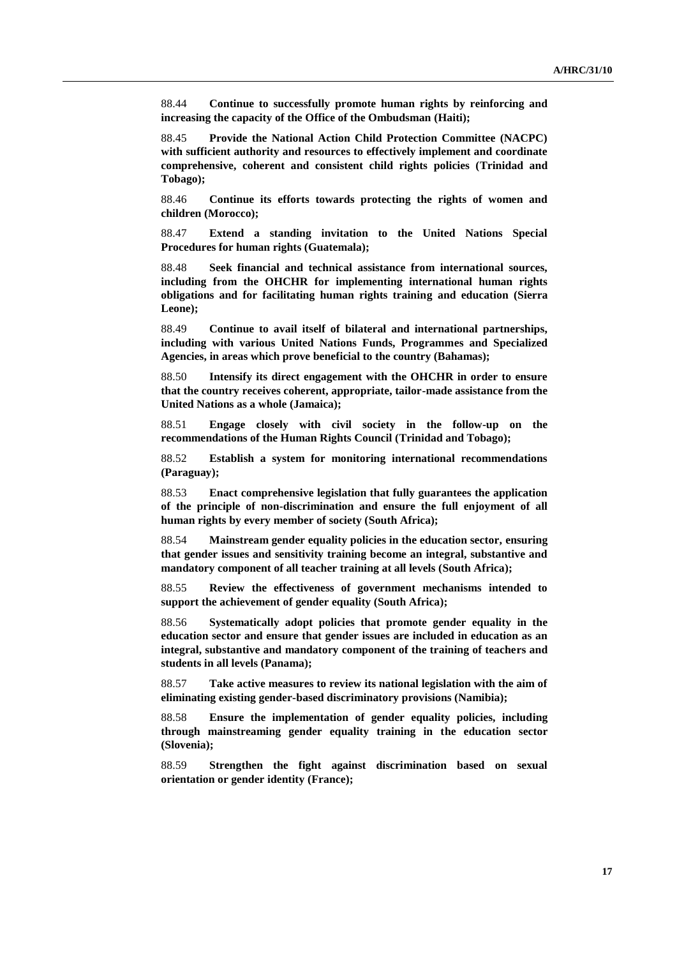88.44 **Continue to successfully promote human rights by reinforcing and increasing the capacity of the Office of the Ombudsman (Haiti);**

88.45 **Provide the National Action Child Protection Committee (NACPC) with sufficient authority and resources to effectively implement and coordinate comprehensive, coherent and consistent child rights policies (Trinidad and Tobago);**

88.46 **Continue its efforts towards protecting the rights of women and children (Morocco);**

88.47 **Extend a standing invitation to the United Nations Special Procedures for human rights (Guatemala);**

88.48 **Seek financial and technical assistance from international sources, including from the OHCHR for implementing international human rights obligations and for facilitating human rights training and education (Sierra Leone);**

88.49 **Continue to avail itself of bilateral and international partnerships, including with various United Nations Funds, Programmes and Specialized Agencies, in areas which prove beneficial to the country (Bahamas);**

88.50 **Intensify its direct engagement with the OHCHR in order to ensure that the country receives coherent, appropriate, tailor-made assistance from the United Nations as a whole (Jamaica);**

88.51 **Engage closely with civil society in the follow-up on the recommendations of the Human Rights Council (Trinidad and Tobago);**

88.52 **Establish a system for monitoring international recommendations (Paraguay);**

88.53 **Enact comprehensive legislation that fully guarantees the application of the principle of non-discrimination and ensure the full enjoyment of all human rights by every member of society (South Africa);**

88.54 **Mainstream gender equality policies in the education sector, ensuring that gender issues and sensitivity training become an integral, substantive and mandatory component of all teacher training at all levels (South Africa);**

88.55 **Review the effectiveness of government mechanisms intended to support the achievement of gender equality (South Africa);**

88.56 **Systematically adopt policies that promote gender equality in the education sector and ensure that gender issues are included in education as an integral, substantive and mandatory component of the training of teachers and students in all levels (Panama);**

88.57 **Take active measures to review its national legislation with the aim of eliminating existing gender-based discriminatory provisions (Namibia);**

88.58 **Ensure the implementation of gender equality policies, including through mainstreaming gender equality training in the education sector (Slovenia);**

88.59 **Strengthen the fight against discrimination based on sexual orientation or gender identity (France);**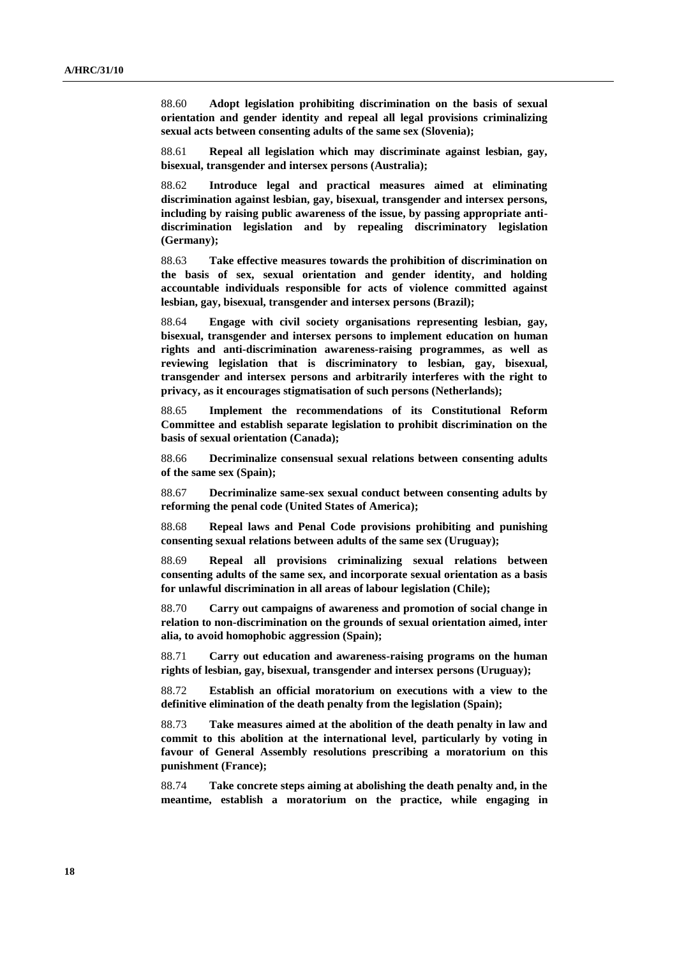88.60 **Adopt legislation prohibiting discrimination on the basis of sexual orientation and gender identity and repeal all legal provisions criminalizing sexual acts between consenting adults of the same sex (Slovenia);**

88.61 **Repeal all legislation which may discriminate against lesbian, gay, bisexual, transgender and intersex persons (Australia);**

88.62 **Introduce legal and practical measures aimed at eliminating discrimination against lesbian, gay, bisexual, transgender and intersex persons, including by raising public awareness of the issue, by passing appropriate antidiscrimination legislation and by repealing discriminatory legislation (Germany);**

88.63 **Take effective measures towards the prohibition of discrimination on the basis of sex, sexual orientation and gender identity, and holding accountable individuals responsible for acts of violence committed against lesbian, gay, bisexual, transgender and intersex persons (Brazil);**

88.64 **Engage with civil society organisations representing lesbian, gay, bisexual, transgender and intersex persons to implement education on human rights and anti-discrimination awareness-raising programmes, as well as reviewing legislation that is discriminatory to lesbian, gay, bisexual, transgender and intersex persons and arbitrarily interferes with the right to privacy, as it encourages stigmatisation of such persons (Netherlands);**

88.65 **Implement the recommendations of its Constitutional Reform Committee and establish separate legislation to prohibit discrimination on the basis of sexual orientation (Canada);**

88.66 **Decriminalize consensual sexual relations between consenting adults of the same sex (Spain);**

88.67 **Decriminalize same-sex sexual conduct between consenting adults by reforming the penal code (United States of America);**

88.68 **Repeal laws and Penal Code provisions prohibiting and punishing consenting sexual relations between adults of the same sex (Uruguay);**

88.69 **Repeal all provisions criminalizing sexual relations between consenting adults of the same sex, and incorporate sexual orientation as a basis for unlawful discrimination in all areas of labour legislation (Chile);**

88.70 **Carry out campaigns of awareness and promotion of social change in relation to non-discrimination on the grounds of sexual orientation aimed, inter alia, to avoid homophobic aggression (Spain);**

88.71 **Carry out education and awareness-raising programs on the human rights of lesbian, gay, bisexual, transgender and intersex persons (Uruguay);**

88.72 **Establish an official moratorium on executions with a view to the definitive elimination of the death penalty from the legislation (Spain);**

88.73 **Take measures aimed at the abolition of the death penalty in law and commit to this abolition at the international level, particularly by voting in favour of General Assembly resolutions prescribing a moratorium on this punishment (France);**

88.74 **Take concrete steps aiming at abolishing the death penalty and, in the meantime, establish a moratorium on the practice, while engaging in**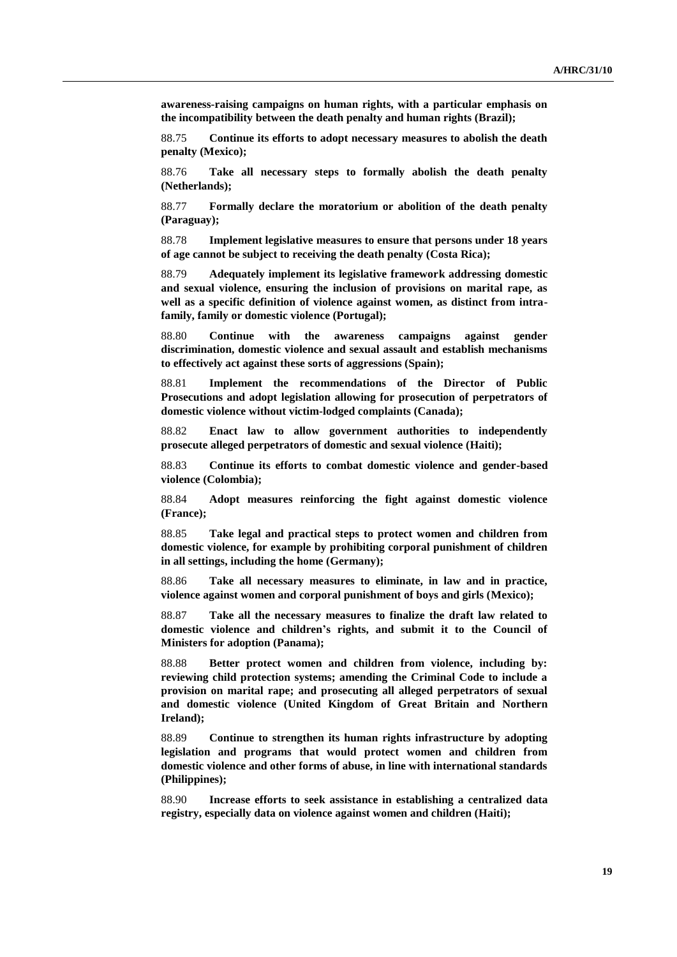**awareness-raising campaigns on human rights, with a particular emphasis on the incompatibility between the death penalty and human rights (Brazil);**

88.75 **Continue its efforts to adopt necessary measures to abolish the death penalty (Mexico);**

88.76 **Take all necessary steps to formally abolish the death penalty (Netherlands);**

88.77 **Formally declare the moratorium or abolition of the death penalty (Paraguay);**

88.78 **Implement legislative measures to ensure that persons under 18 years of age cannot be subject to receiving the death penalty (Costa Rica);**

88.79 **Adequately implement its legislative framework addressing domestic and sexual violence, ensuring the inclusion of provisions on marital rape, as well as a specific definition of violence against women, as distinct from intrafamily, family or domestic violence (Portugal);**

88.80 **Continue with the awareness campaigns against gender discrimination, domestic violence and sexual assault and establish mechanisms to effectively act against these sorts of aggressions (Spain);**

88.81 **Implement the recommendations of the Director of Public Prosecutions and adopt legislation allowing for prosecution of perpetrators of domestic violence without victim-lodged complaints (Canada);**

88.82 **Enact law to allow government authorities to independently prosecute alleged perpetrators of domestic and sexual violence (Haiti);**

88.83 **Continue its efforts to combat domestic violence and gender-based violence (Colombia);**

88.84 **Adopt measures reinforcing the fight against domestic violence (France);**

88.85 **Take legal and practical steps to protect women and children from domestic violence, for example by prohibiting corporal punishment of children in all settings, including the home (Germany);**

88.86 **Take all necessary measures to eliminate, in law and in practice, violence against women and corporal punishment of boys and girls (Mexico);**

88.87 **Take all the necessary measures to finalize the draft law related to domestic violence and children's rights, and submit it to the Council of Ministers for adoption (Panama);**

88.88 **Better protect women and children from violence, including by: reviewing child protection systems; amending the Criminal Code to include a provision on marital rape; and prosecuting all alleged perpetrators of sexual and domestic violence (United Kingdom of Great Britain and Northern Ireland);**

88.89 **Continue to strengthen its human rights infrastructure by adopting legislation and programs that would protect women and children from domestic violence and other forms of abuse, in line with international standards (Philippines);**

88.90 **Increase efforts to seek assistance in establishing a centralized data registry, especially data on violence against women and children (Haiti);**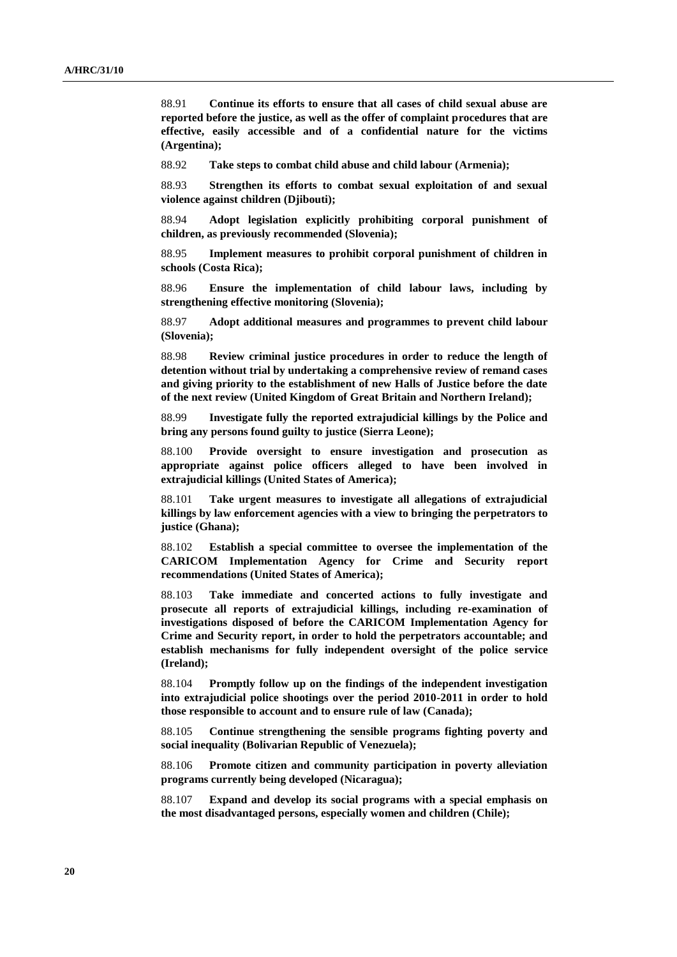88.91 **Continue its efforts to ensure that all cases of child sexual abuse are reported before the justice, as well as the offer of complaint procedures that are effective, easily accessible and of a confidential nature for the victims (Argentina);**

88.92 **Take steps to combat child abuse and child labour (Armenia);**

88.93 **Strengthen its efforts to combat sexual exploitation of and sexual violence against children (Djibouti);**

88.94 **Adopt legislation explicitly prohibiting corporal punishment of children, as previously recommended (Slovenia);**

88.95 **Implement measures to prohibit corporal punishment of children in schools (Costa Rica);**

88.96 **Ensure the implementation of child labour laws, including by strengthening effective monitoring (Slovenia);**

88.97 **Adopt additional measures and programmes to prevent child labour (Slovenia);**

88.98 **Review criminal justice procedures in order to reduce the length of detention without trial by undertaking a comprehensive review of remand cases and giving priority to the establishment of new Halls of Justice before the date of the next review (United Kingdom of Great Britain and Northern Ireland);**

88.99 **Investigate fully the reported extrajudicial killings by the Police and bring any persons found guilty to justice (Sierra Leone);**

88.100 **Provide oversight to ensure investigation and prosecution as appropriate against police officers alleged to have been involved in extrajudicial killings (United States of America);**

88.101 **Take urgent measures to investigate all allegations of extrajudicial killings by law enforcement agencies with a view to bringing the perpetrators to justice (Ghana);**

88.102 **Establish a special committee to oversee the implementation of the CARICOM Implementation Agency for Crime and Security report recommendations (United States of America);**

88.103 **Take immediate and concerted actions to fully investigate and prosecute all reports of extrajudicial killings, including re-examination of investigations disposed of before the CARICOM Implementation Agency for Crime and Security report, in order to hold the perpetrators accountable; and establish mechanisms for fully independent oversight of the police service (Ireland);**

88.104 **Promptly follow up on the findings of the independent investigation into extrajudicial police shootings over the period 2010-2011 in order to hold those responsible to account and to ensure rule of law (Canada);**

88.105 **Continue strengthening the sensible programs fighting poverty and social inequality (Bolivarian Republic of Venezuela);**

88.106 **Promote citizen and community participation in poverty alleviation programs currently being developed (Nicaragua);**

88.107 **Expand and develop its social programs with a special emphasis on the most disadvantaged persons, especially women and children (Chile);**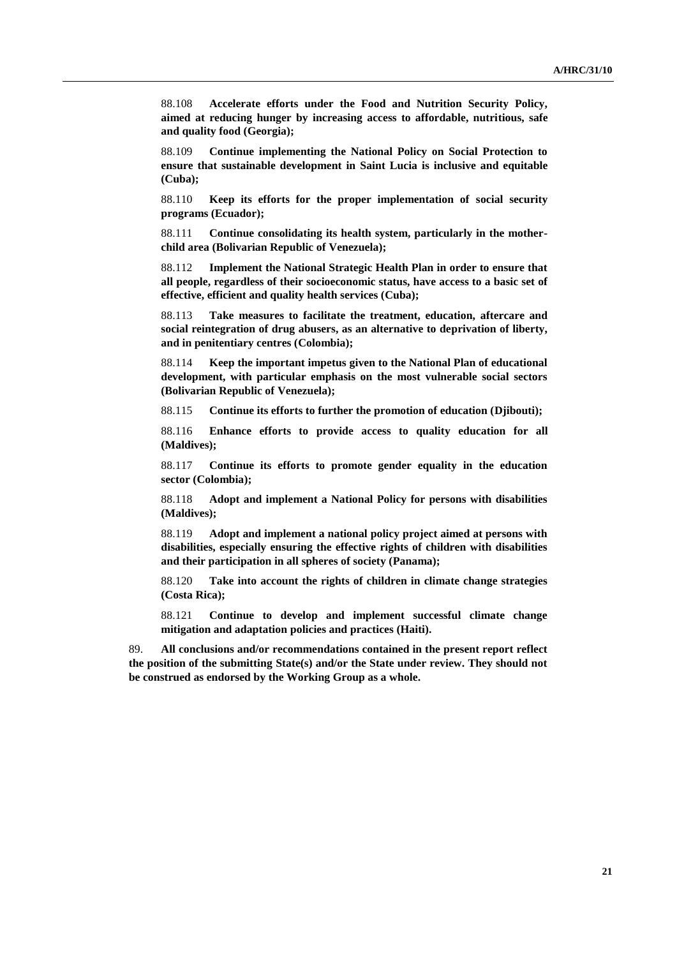88.108 **Accelerate efforts under the Food and Nutrition Security Policy, aimed at reducing hunger by increasing access to affordable, nutritious, safe and quality food (Georgia);**

88.109 **Continue implementing the National Policy on Social Protection to ensure that sustainable development in Saint Lucia is inclusive and equitable (Cuba);**

88.110 **Keep its efforts for the proper implementation of social security programs (Ecuador);**

88.111 **Continue consolidating its health system, particularly in the motherchild area (Bolivarian Republic of Venezuela);**

88.112 **Implement the National Strategic Health Plan in order to ensure that all people, regardless of their socioeconomic status, have access to a basic set of effective, efficient and quality health services (Cuba);**

88.113 **Take measures to facilitate the treatment, education, aftercare and social reintegration of drug abusers, as an alternative to deprivation of liberty, and in penitentiary centres (Colombia);**

88.114 **Keep the important impetus given to the National Plan of educational development, with particular emphasis on the most vulnerable social sectors (Bolivarian Republic of Venezuela);**

88.115 **Continue its efforts to further the promotion of education (Djibouti);**

88.116 **Enhance efforts to provide access to quality education for all (Maldives);**

88.117 **Continue its efforts to promote gender equality in the education sector (Colombia);**

88.118 **Adopt and implement a National Policy for persons with disabilities (Maldives);**

88.119 **Adopt and implement a national policy project aimed at persons with disabilities, especially ensuring the effective rights of children with disabilities and their participation in all spheres of society (Panama);**

88.120 **Take into account the rights of children in climate change strategies (Costa Rica);**

88.121 **Continue to develop and implement successful climate change mitigation and adaptation policies and practices (Haiti).**

89. **All conclusions and/or recommendations contained in the present report reflect the position of the submitting State(s) and/or the State under review. They should not be construed as endorsed by the Working Group as a whole.**